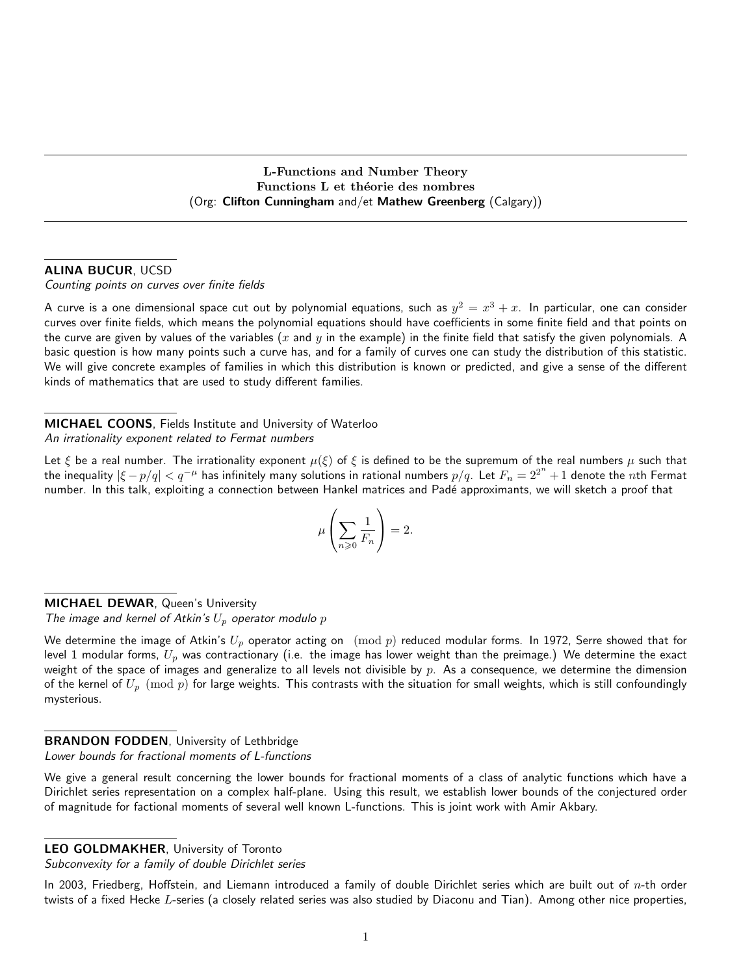L-Functions and Number Theory Functions L et théorie des nombres (Org: Clifton Cunningham and/et Mathew Greenberg (Calgary))

### ALINA BUCUR, UCSD

Counting points on curves over finite fields

A curve is a one dimensional space cut out by polynomial equations, such as  $y^2=x^3+x.$  In particular, one can consider curves over finite fields, which means the polynomial equations should have coefficients in some finite field and that points on the curve are given by values of the variables (x and y in the example) in the finite field that satisfy the given polynomials. A basic question is how many points such a curve has, and for a family of curves one can study the distribution of this statistic. We will give concrete examples of families in which this distribution is known or predicted, and give a sense of the different kinds of mathematics that are used to study different families.

MICHAEL COONS, Fields Institute and University of Waterloo An irrationality exponent related to Fermat numbers

Let  $\xi$  be a real number. The irrationality exponent  $\mu(\xi)$  of  $\xi$  is defined to be the supremum of the real numbers  $\mu$  such that the inequality  $|\xi-p/q|< q^{-\mu}$  has infinitely many solutions in rational numbers  $p/q$ . Let  $F_n=2^{2^n}+1$  denote the  $n$ th Fermat number. In this talk, exploiting a connection between Hankel matrices and Padé approximants, we will sketch a proof that

$$
\mu\left(\sum_{n\geqslant 0}\frac{1}{F_n}\right)=2.
$$

### MICHAEL DEWAR, Queen's University

The image and kernel of Atkin's  $U_p$  operator modulo  $p$ 

We determine the image of Atkin's  $U_p$  operator acting on  $p \pmod{p}$  reduced modular forms. In 1972, Serre showed that for level 1 modular forms,  $U_p$  was contractionary (i.e. the image has lower weight than the preimage.) We determine the exact weight of the space of images and generalize to all levels not divisible by  $p$ . As a consequence, we determine the dimension of the kernel of  $U_p \pmod{p}$  for large weights. This contrasts with the situation for small weights, which is still confoundingly mysterious.

### BRANDON FODDEN, University of Lethbridge

Lower bounds for fractional moments of L-functions

We give a general result concerning the lower bounds for fractional moments of a class of analytic functions which have a Dirichlet series representation on a complex half-plane. Using this result, we establish lower bounds of the conjectured order of magnitude for factional moments of several well known L-functions. This is joint work with Amir Akbary.

### LEO GOLDMAKHER, University of Toronto

Subconvexity for a family of double Dirichlet series

In 2003, Friedberg, Hoffstein, and Liemann introduced a family of double Dirichlet series which are built out of n-th order twists of a fixed Hecke L-series (a closely related series was also studied by Diaconu and Tian). Among other nice properties,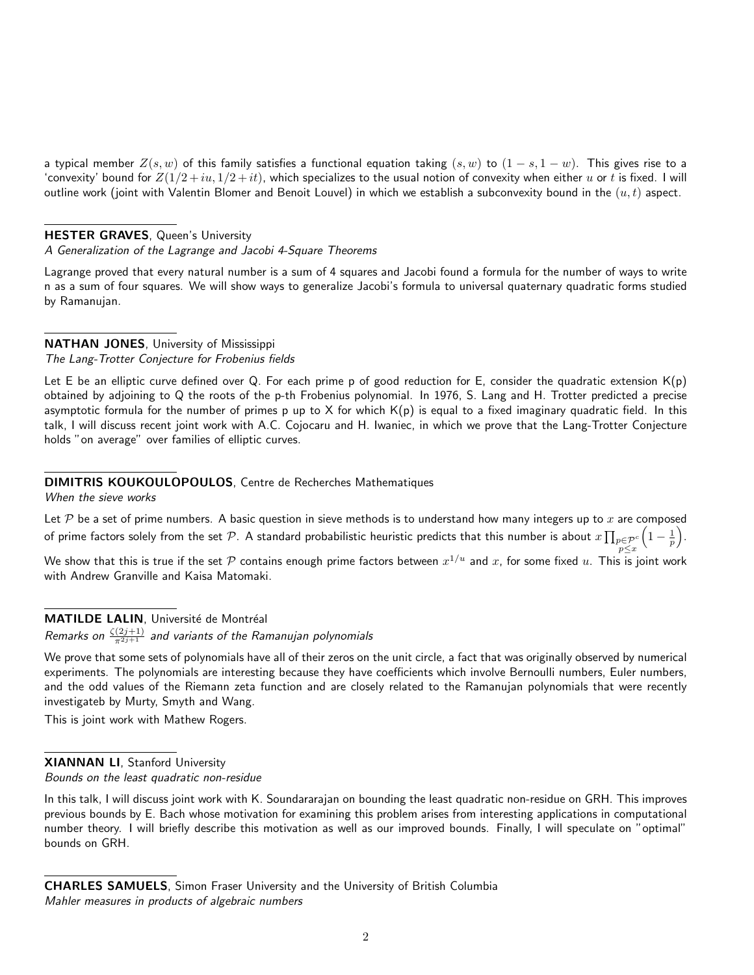a typical member  $Z(s, w)$  of this family satisfies a functional equation taking  $(s, w)$  to  $(1 - s, 1 - w)$ . This gives rise to a 'convexity' bound for  $Z(1/2 + iu, 1/2 + it)$ , which specializes to the usual notion of convexity when either u or t is fixed. I will outline work (joint with Valentin Blomer and Benoit Louvel) in which we establish a subconvexity bound in the  $(u, t)$  aspect.

### HESTER GRAVES, Queen's University

A Generalization of the Lagrange and Jacobi 4-Square Theorems

Lagrange proved that every natural number is a sum of 4 squares and Jacobi found a formula for the number of ways to write n as a sum of four squares. We will show ways to generalize Jacobi's formula to universal quaternary quadratic forms studied by Ramanujan.

### NATHAN JONES, University of Mississippi

The Lang-Trotter Conjecture for Frobenius fields

Let E be an elliptic curve defined over Q. For each prime p of good reduction for E, consider the quadratic extension  $K(p)$ obtained by adjoining to Q the roots of the p-th Frobenius polynomial. In 1976, S. Lang and H. Trotter predicted a precise asymptotic formula for the number of primes p up to X for which  $K(p)$  is equal to a fixed imaginary quadratic field. In this talk, I will discuss recent joint work with A.C. Cojocaru and H. Iwaniec, in which we prove that the Lang-Trotter Conjecture holds "on average" over families of elliptic curves.

#### DIMITRIS KOUKOULOPOULOS, Centre de Recherches Mathematiques

When the sieve works

Let  $P$  be a set of prime numbers. A basic question in sieve methods is to understand how many integers up to x are composed of prime factors solely from the set  ${\cal P}$ . A standard probabilistic heuristic predicts that this number is about  $x\prod_{\substack{p\in{\cal P}^c\ p\leq x}}$  $\left(1-\frac{1}{p}\right).$ 

We show that this is true if the set  ${\cal P}$  contains enough prime factors between  $x^{1/u}$  and  $x$ , for some fixed  $u$ . This is joint work with Andrew Granville and Kaisa Matomaki.

## MATILDE LALIN, Université de Montréal

Remarks on  $\frac{\zeta(2j+1)}{\pi^{2j+1}}$  and variants of the Ramanujan polynomials

We prove that some sets of polynomials have all of their zeros on the unit circle, a fact that was originally observed by numerical experiments. The polynomials are interesting because they have coefficients which involve Bernoulli numbers, Euler numbers, and the odd values of the Riemann zeta function and are closely related to the Ramanujan polynomials that were recently investigateb by Murty, Smyth and Wang.

This is joint work with Mathew Rogers.

## XIANNAN LI, Stanford University

Bounds on the least quadratic non-residue

In this talk, I will discuss joint work with K. Soundararajan on bounding the least quadratic non-residue on GRH. This improves previous bounds by E. Bach whose motivation for examining this problem arises from interesting applications in computational number theory. I will briefly describe this motivation as well as our improved bounds. Finally, I will speculate on "optimal" bounds on GRH.

CHARLES SAMUELS, Simon Fraser University and the University of British Columbia Mahler measures in products of algebraic numbers